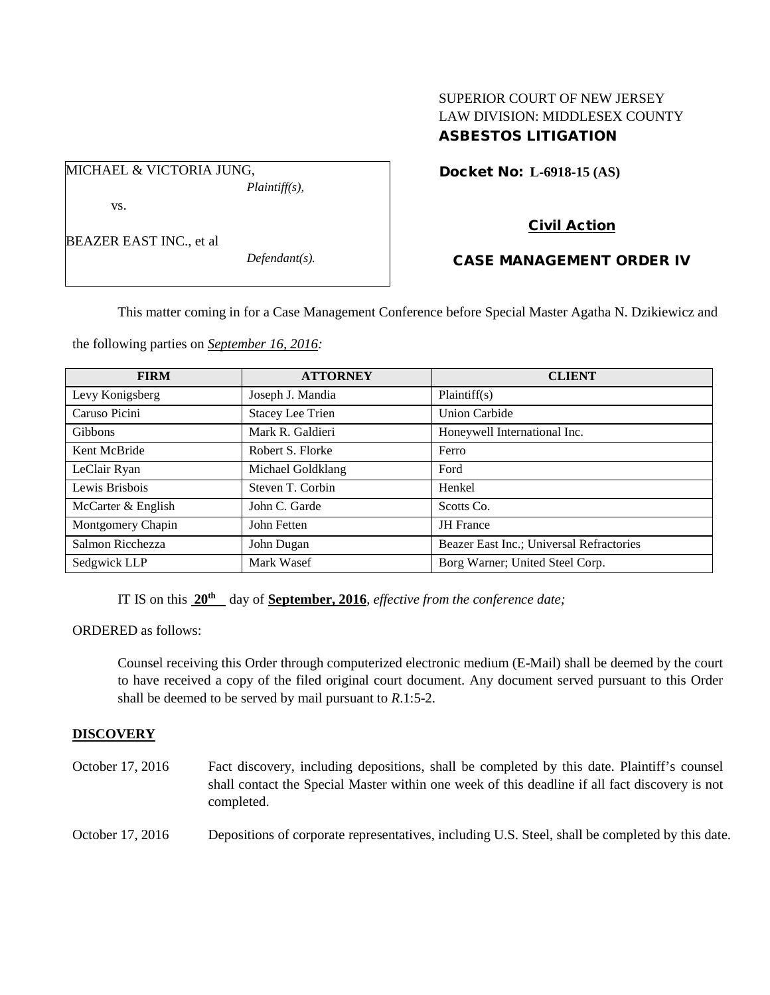# SUPERIOR COURT OF NEW JERSEY LAW DIVISION: MIDDLESEX COUNTY ASBESTOS LITIGATION

Docket No: **L-6918-15 (AS)** 

vs.

BEAZER EAST INC., et al

MICHAEL & VICTORIA JUNG,

*Defendant(s).*

*Plaintiff(s),*

# Civil Action

## CASE MANAGEMENT ORDER IV

This matter coming in for a Case Management Conference before Special Master Agatha N. Dzikiewicz and

the following parties on *September 16, 2016:*

| <b>FIRM</b>        | <b>ATTORNEY</b>         | <b>CLIENT</b>                            |
|--------------------|-------------------------|------------------------------------------|
| Levy Konigsberg    | Joseph J. Mandia        | Plaintiff(s)                             |
| Caruso Picini      | <b>Stacey Lee Trien</b> | <b>Union Carbide</b>                     |
| Gibbons            | Mark R. Galdieri        | Honeywell International Inc.             |
| Kent McBride       | Robert S. Florke        | Ferro                                    |
| LeClair Ryan       | Michael Goldklang       | Ford                                     |
| Lewis Brisbois     | Steven T. Corbin        | Henkel                                   |
| McCarter & English | John C. Garde           | Scotts Co.                               |
| Montgomery Chapin  | John Fetten             | <b>JH</b> France                         |
| Salmon Ricchezza   | John Dugan              | Beazer East Inc.; Universal Refractories |
| Sedgwick LLP       | Mark Wasef              | Borg Warner; United Steel Corp.          |

IT IS on this **20th** day of **September, 2016**, *effective from the conference date;*

ORDERED as follows:

Counsel receiving this Order through computerized electronic medium (E-Mail) shall be deemed by the court to have received a copy of the filed original court document. Any document served pursuant to this Order shall be deemed to be served by mail pursuant to *R*.1:5-2.

## **DISCOVERY**

| October 17, 2016 | Fact discovery, including depositions, shall be completed by this date. Plaintiff's counsel<br>shall contact the Special Master within one week of this deadline if all fact discovery is not<br>completed. |
|------------------|-------------------------------------------------------------------------------------------------------------------------------------------------------------------------------------------------------------|
| October 17, 2016 | Depositions of corporate representatives, including U.S. Steel, shall be completed by this date.                                                                                                            |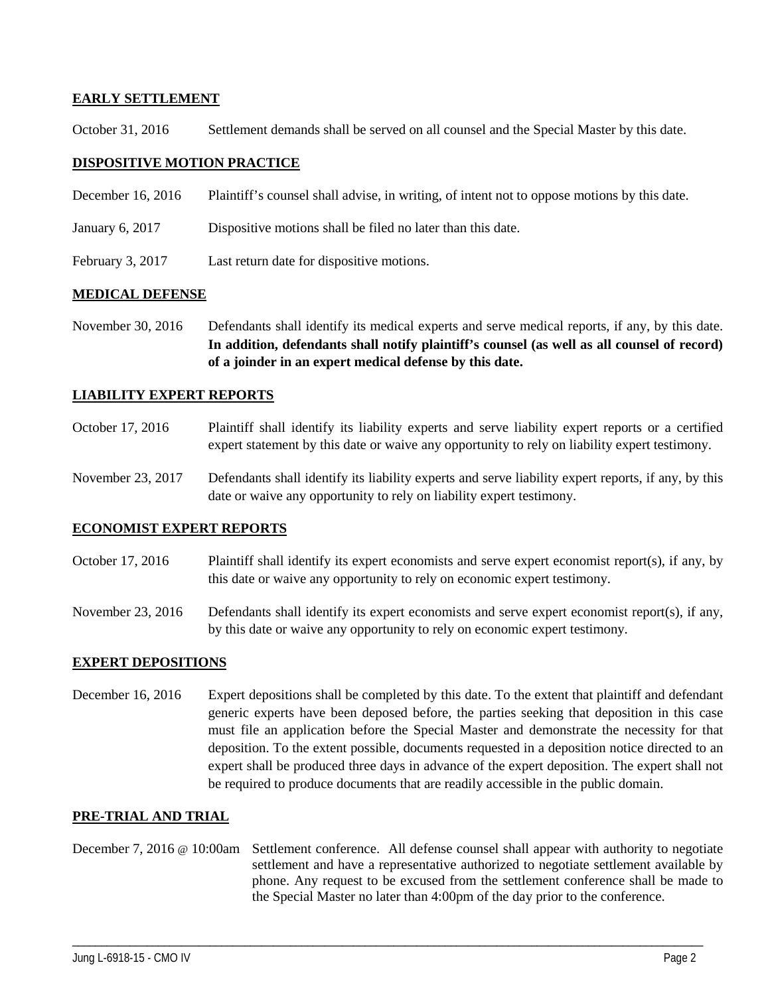## **EARLY SETTLEMENT**

October 31, 2016 Settlement demands shall be served on all counsel and the Special Master by this date.

## **DISPOSITIVE MOTION PRACTICE**

| December 16, 2016  | Plaintiff's counsel shall advise, in writing, of intent not to oppose motions by this date. |
|--------------------|---------------------------------------------------------------------------------------------|
| January 6, 2017    | Dispositive motions shall be filed no later than this date.                                 |
| February 3, $2017$ | Last return date for dispositive motions.                                                   |

## **MEDICAL DEFENSE**

November 30, 2016 Defendants shall identify its medical experts and serve medical reports, if any, by this date. **In addition, defendants shall notify plaintiff's counsel (as well as all counsel of record) of a joinder in an expert medical defense by this date.**

#### **LIABILITY EXPERT REPORTS**

- October 17, 2016 Plaintiff shall identify its liability experts and serve liability expert reports or a certified expert statement by this date or waive any opportunity to rely on liability expert testimony.
- November 23, 2017 Defendants shall identify its liability experts and serve liability expert reports, if any, by this date or waive any opportunity to rely on liability expert testimony.

#### **ECONOMIST EXPERT REPORTS**

- October 17, 2016 Plaintiff shall identify its expert economists and serve expert economist report(s), if any, by this date or waive any opportunity to rely on economic expert testimony.
- November 23, 2016 Defendants shall identify its expert economists and serve expert economist report(s), if any, by this date or waive any opportunity to rely on economic expert testimony.

#### **EXPERT DEPOSITIONS**

December 16, 2016 Expert depositions shall be completed by this date. To the extent that plaintiff and defendant generic experts have been deposed before, the parties seeking that deposition in this case must file an application before the Special Master and demonstrate the necessity for that deposition. To the extent possible, documents requested in a deposition notice directed to an expert shall be produced three days in advance of the expert deposition. The expert shall not be required to produce documents that are readily accessible in the public domain.

#### **PRE-TRIAL AND TRIAL**

December 7, 2016 @ 10:00am Settlement conference. All defense counsel shall appear with authority to negotiate settlement and have a representative authorized to negotiate settlement available by phone. Any request to be excused from the settlement conference shall be made to the Special Master no later than 4:00pm of the day prior to the conference.

\_\_\_\_\_\_\_\_\_\_\_\_\_\_\_\_\_\_\_\_\_\_\_\_\_\_\_\_\_\_\_\_\_\_\_\_\_\_\_\_\_\_\_\_\_\_\_\_\_\_\_\_\_\_\_\_\_\_\_\_\_\_\_\_\_\_\_\_\_\_\_\_\_\_\_\_\_\_\_\_\_\_\_\_\_\_\_\_\_\_\_\_\_\_\_\_\_\_\_\_\_\_\_\_\_\_\_\_\_\_